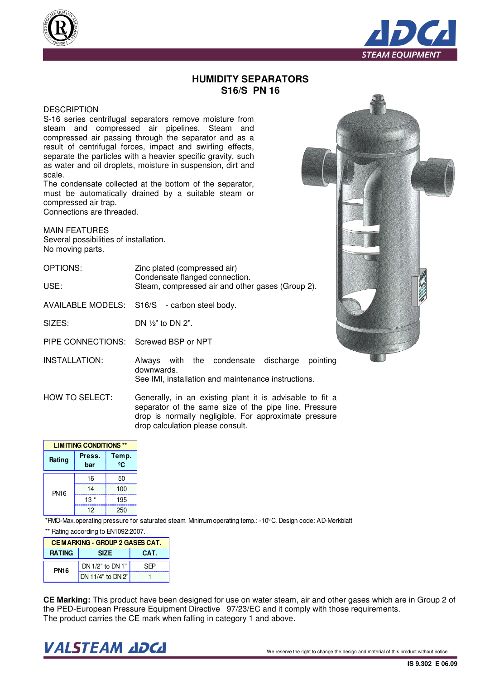



## **HUMIDITY SEPARATORS S16/S PN 16**

## **DESCRIPTION**

S-16 series centrifugal separators remove moisture from steam and compressed air pipelines. Steam and compressed air passing through the separator and as a result of centrifugal forces, impact and swirling effects, separate the particles with a heavier specific gravity, such as water and oil droplets, moisture in suspension, dirt and scale.

The condensate collected at the bottom of the separator, must be automatically drained by a suitable steam or compressed air trap. Connections are threaded.

MAIN FEATURES Several possibilities of installation. No moving parts.

| OPTIONS: | Zinc plated (compressed air)                     |
|----------|--------------------------------------------------|
|          | Condensate flanged connection.                   |
| USE:     | Steam, compressed air and other gases (Group 2). |

AVAILABLE MODELS: S16/S - carbon steel body.

SIZES: DN ½" to DN 2".

PIPE CONNECTIONS: Screwed BSP or NPT



INSTALLATION: Always with the condensate discharge pointing downwards. See IMI, installation and maintenance instructions.

HOW TO SELECT: Generally, in an existing plant it is advisable to fit a separator of the same size of the pipe line. Pressure drop is normally negligible. For approximate pressure drop calculation please consult.

| <b>LIMITING CONDITIONS **</b> |                              |     |  |
|-------------------------------|------------------------------|-----|--|
| Rating                        | Temp.<br>Press.<br>ºC<br>bar |     |  |
| <b>PN16</b>                   | 16                           | 50  |  |
|                               | 14                           | 100 |  |
|                               | $13*$                        | 195 |  |
|                               | 12                           | 250 |  |

\*PMO-Max.operating pressure for saturated steam. Minimum operating temp.: -10ºC. Design code: AD-Merkblatt \*\* Rating according to EN1092:2007.

| <b>CEMARKING - GROUP 2 GASES CAT.</b> |                           |      |  |
|---------------------------------------|---------------------------|------|--|
| <b>RATING</b>                         | <b>SIZE</b>               | CAT. |  |
| <b>PN16</b>                           | DN 1/2" to DN 1"          | SFP  |  |
|                                       | <b>IDN 11/4" to DN 2"</b> |      |  |

**CE Marking:** This product have been designed for use on water steam, air and other gases which are in Group 2 of the PED-European Pressure Equipment Directive 97/23/EC and it comply with those requirements. The product carries the CE mark when falling in category 1 and above.

## $\bm{VALSTEAM}$  and  $\bm{DCL}$  we reserve the right to change the design and material of this product without notice.